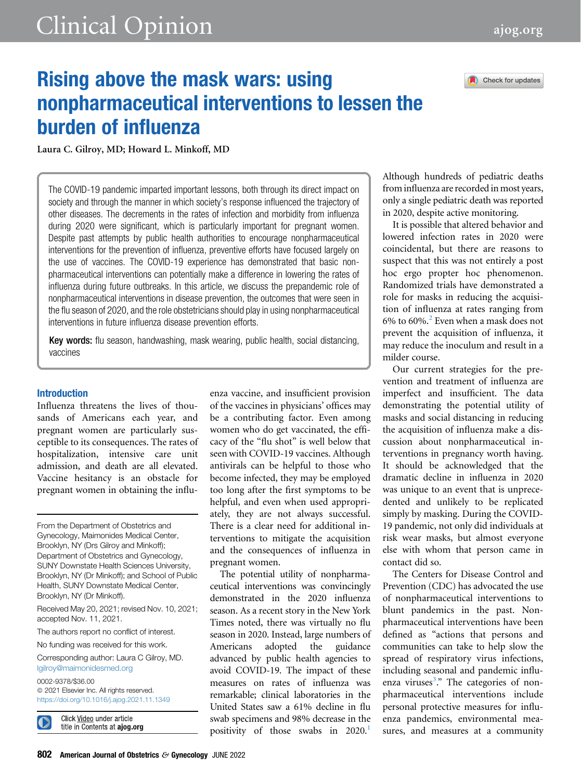



# Rising above the mask wars: using nonpharmaceutical interventions to lessen the burden of influenza

Laura C. Gilroy, MD; Howard L. Minkoff, MD

The COVID-19 pandemic imparted important lessons, both through its direct impact on society and through the manner in which society's response influenced the trajectory of other diseases. The decrements in the rates of infection and morbidity from influenza during 2020 were significant, which is particularly important for pregnant women. Despite past attempts by public health authorities to encourage nonpharmaceutical interventions for the prevention of influenza, preventive efforts have focused largely on the use of vaccines. The COVID-19 experience has demonstrated that basic nonpharmaceutical interventions can potentially make a difference in lowering the rates of influenza during future outbreaks. In this article, we discuss the prepandemic role of nonpharmaceutical interventions in disease prevention, the outcomes that were seen in the flu season of 2020, and the role obstetricians should play in using nonpharmaceutical interventions in future influenza disease prevention efforts.

Key words: flu season, handwashing, mask wearing, public health, social distancing, vaccines

## Introduction

Influenza threatens the lives of thousands of Americans each year, and pregnant women are particularly susceptible to its consequences. The rates of hospitalization, intensive care unit admission, and death are all elevated. Vaccine hesitancy is an obstacle for pregnant women in obtaining the influ-

Received May 20, 2021; revised Nov. 10, 2021; accepted Nov. 11, 2021.

The authors report no conflict of interest.

No funding was received for this work.

Corresponding author: Laura C Gilroy, MD. [lgilroy@maimonidesmed.org](mailto:lgilroy@maimonidesmed.org)

0002-9378/\$36.00

 $©$  2021 Elsevier Inc. All rights reserved. <https://doi.org/10.1016/j.ajog.2021.11.1349>



Click Video under article title in Contents at ajog.org enza vaccine, and insufficient provision of the vaccines in physicians' offices may be a contributing factor. Even among women who do get vaccinated, the efficacy of the "flu shot" is well below that seen with COVID-19 vaccines. Although antivirals can be helpful to those who become infected, they may be employed too long after the first symptoms to be helpful, and even when used appropriately, they are not always successful. There is a clear need for additional interventions to mitigate the acquisition and the consequences of influenza in pregnant women.

The potential utility of nonpharmaceutical interventions was convincingly demonstrated in the 2020 influenza season. As a recent story in the New York Times noted, there was virtually no flu season in 2020. Instead, large numbers of Americans adopted the guidance advanced by public health agencies to avoid COVID-19. The impact of these measures on rates of influenza was remarkable; clinical laboratories in the United States saw a 61% decline in flu swab specimens and 98% decrease in the positivity of those swabs in  $2020$ .<sup>1</sup>

Although hundreds of pediatric deaths from influenza are recorded in most years, only a single pediatric death was reported in 2020, despite active monitoring.

It is possible that altered behavior and lowered infection rates in 2020 were coincidental, but there are reasons to suspect that this was not entirely a post hoc ergo propter hoc phenomenon. Randomized trials have demonstrated a role for masks in reducing the acquisition of influenza at rates ranging from 6% to 60%.[2](#page-2-1) Even when a mask does not prevent the acquisition of influenza, it may reduce the inoculum and result in a milder course.

Our current strategies for the prevention and treatment of influenza are imperfect and insufficient. The data demonstrating the potential utility of masks and social distancing in reducing the acquisition of influenza make a discussion about nonpharmaceutical interventions in pregnancy worth having. It should be acknowledged that the dramatic decline in influenza in 2020 was unique to an event that is unprecedented and unlikely to be replicated simply by masking. During the COVID-19 pandemic, not only did individuals at risk wear masks, but almost everyone else with whom that person came in contact did so.

The Centers for Disease Control and Prevention (CDC) has advocated the use of nonpharmaceutical interventions to blunt pandemics in the past. Nonpharmaceutical interventions have been defined as "actions that persons and communities can take to help slow the spread of respiratory virus infections, including seasonal and pandemic influ-enza viruses<sup>[3](#page-2-2)</sup>." The categories of nonpharmaceutical interventions include personal protective measures for influenza pandemics, environmental measures, and measures at a community

From the Department of Obstetrics and Gynecology, Maimonides Medical Center, Brooklyn, NY (Drs Gilroy and Minkoff); Department of Obstetrics and Gynecology, SUNY Downstate Health Sciences University, Brooklyn, NY (Dr Minkoff); and School of Public Health, SUNY Downstate Medical Center, Brooklyn, NY (Dr Minkoff).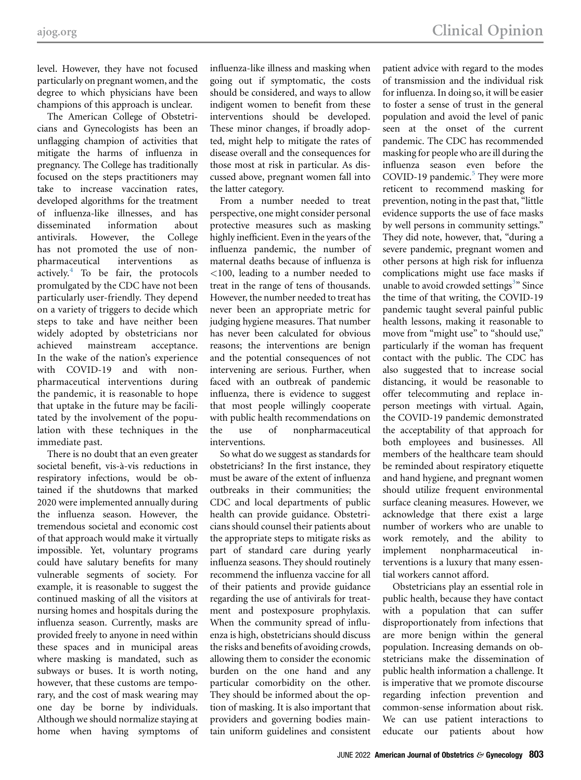level. However, they have not focused particularly on pregnant women, and the degree to which physicians have been champions of this approach is unclear.

The American College of Obstetricians and Gynecologists has been an unflagging champion of activities that mitigate the harms of influenza in pregnancy. The College has traditionally focused on the steps practitioners may take to increase vaccination rates, developed algorithms for the treatment of influenza-like illnesses, and has disseminated information about antivirals. However, the College has not promoted the use of nonpharmaceutical interventions as actively. $4$  To be fair, the protocols promulgated by the CDC have not been particularly user-friendly. They depend on a variety of triggers to decide which steps to take and have neither been widely adopted by obstetricians nor achieved mainstream acceptance. In the wake of the nation's experience with COVID-19 and with nonpharmaceutical interventions during the pandemic, it is reasonable to hope that uptake in the future may be facilitated by the involvement of the population with these techniques in the immediate past.

There is no doubt that an even greater societal benefit, vis-à-vis reductions in respiratory infections, would be obtained if the shutdowns that marked 2020 were implemented annually during the influenza season. However, the tremendous societal and economic cost of that approach would make it virtually impossible. Yet, voluntary programs could have salutary benefits for many vulnerable segments of society. For example, it is reasonable to suggest the continued masking of all the visitors at nursing homes and hospitals during the influenza season. Currently, masks are provided freely to anyone in need within these spaces and in municipal areas where masking is mandated, such as subways or buses. It is worth noting, however, that these customs are temporary, and the cost of mask wearing may one day be borne by individuals. Although we should normalize staying at home when having symptoms of influenza-like illness and masking when going out if symptomatic, the costs should be considered, and ways to allow indigent women to benefit from these interventions should be developed. These minor changes, if broadly adopted, might help to mitigate the rates of disease overall and the consequences for those most at risk in particular. As discussed above, pregnant women fall into the latter category.

From a number needed to treat perspective, one might consider personal protective measures such as masking highly inefficient. Even in the years of the influenza pandemic, the number of maternal deaths because of influenza is <100, leading to a number needed to treat in the range of tens of thousands. However, the number needed to treat has never been an appropriate metric for judging hygiene measures. That number has never been calculated for obvious reasons; the interventions are benign and the potential consequences of not intervening are serious. Further, when faced with an outbreak of pandemic influenza, there is evidence to suggest that most people willingly cooperate with public health recommendations on the use of nonpharmaceutical interventions.

So what do we suggest as standards for obstetricians? In the first instance, they must be aware of the extent of influenza outbreaks in their communities; the CDC and local departments of public health can provide guidance. Obstetricians should counsel their patients about the appropriate steps to mitigate risks as part of standard care during yearly influenza seasons. They should routinely recommend the influenza vaccine for all of their patients and provide guidance regarding the use of antivirals for treatment and postexposure prophylaxis. When the community spread of influenza is high, obstetricians should discuss the risks and benefits of avoiding crowds, allowing them to consider the economic burden on the one hand and any particular comorbidity on the other. They should be informed about the option of masking. It is also important that providers and governing bodies maintain uniform guidelines and consistent

patient advice with regard to the modes of transmission and the individual risk for influenza. In doing so, it will be easier to foster a sense of trust in the general population and avoid the level of panic seen at the onset of the current pandemic. The CDC has recommended masking for people who are ill during the influenza season even before the COVID-19 pandemic. $5$  They were more reticent to recommend masking for prevention, noting in the past that, "little evidence supports the use of face masks by well persons in community settings." They did note, however, that, "during a severe pandemic, pregnant women and other persons at high risk for influenza complications might use face masks if unable to avoid crowded settings<sup>[3](#page-2-2)</sup>" Since the time of that writing, the COVID-19 pandemic taught several painful public health lessons, making it reasonable to move from "might use" to "should use," particularly if the woman has frequent contact with the public. The CDC has also suggested that to increase social distancing, it would be reasonable to offer telecommuting and replace inperson meetings with virtual. Again, the COVID-19 pandemic demonstrated the acceptability of that approach for both employees and businesses. All members of the healthcare team should be reminded about respiratory etiquette and hand hygiene, and pregnant women should utilize frequent environmental surface cleaning measures. However, we acknowledge that there exist a large number of workers who are unable to work remotely, and the ability to implement nonpharmaceutical interventions is a luxury that many essential workers cannot afford.

Obstetricians play an essential role in public health, because they have contact with a population that can suffer disproportionately from infections that are more benign within the general population. Increasing demands on obstetricians make the dissemination of public health information a challenge. It is imperative that we promote discourse regarding infection prevention and common-sense information about risk. We can use patient interactions to educate our patients about how